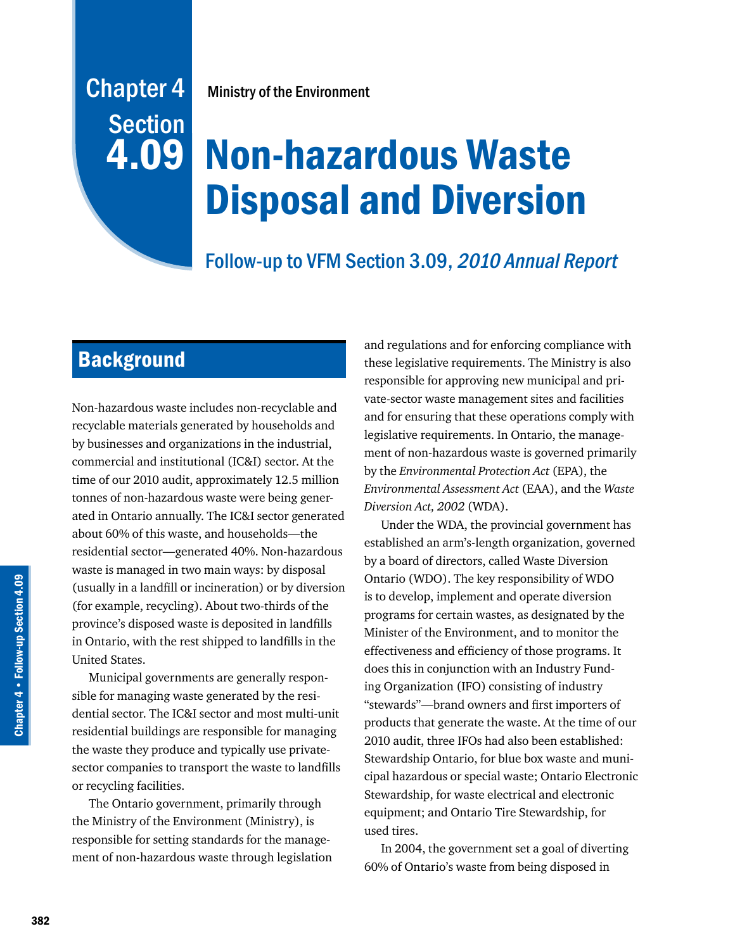## Chapter 4 **Section** 4.09

Ministry of the Environment

# Non-hazardous Waste Disposal and Diversion

## Follow-up to VFM Section 3.09, 2010 Annual Report

## **Background**

Non-hazardous waste includes non-recyclable and recyclable materials generated by households and by businesses and organizations in the industrial, commercial and institutional (IC&I) sector. At the time of our 2010 audit, approximately 12.5 million tonnes of non-hazardous waste were being generated in Ontario annually. The IC&I sector generated about 60% of this waste, and households—the residential sector—generated 40%. Non-hazardous waste is managed in two main ways: by disposal (usually in a landfill or incineration) or by diversion (for example, recycling). About two-thirds of the province's disposed waste is deposited in landfills in Ontario, with the rest shipped to landfills in the United States.

Municipal governments are generally responsible for managing waste generated by the residential sector. The IC&I sector and most multi-unit residential buildings are responsible for managing the waste they produce and typically use privatesector companies to transport the waste to landfills or recycling facilities.

The Ontario government, primarily through the Ministry of the Environment (Ministry), is responsible for setting standards for the management of non-hazardous waste through legislation

and regulations and for enforcing compliance with these legislative requirements. The Ministry is also responsible for approving new municipal and private-sector waste management sites and facilities and for ensuring that these operations comply with legislative requirements. In Ontario, the management of non-hazardous waste is governed primarily by the *Environmental Protection Act* (EPA), the *Environmental Assessment Act* (EAA), and the *Waste Diversion Act, 2002* (WDA).

Under the WDA, the provincial government has established an arm's-length organization, governed by a board of directors, called Waste Diversion Ontario (WDO). The key responsibility of WDO is to develop, implement and operate diversion programs for certain wastes, as designated by the Minister of the Environment, and to monitor the effectiveness and efficiency of those programs. It does this in conjunction with an Industry Funding Organization (IFO) consisting of industry "stewards"—brand owners and first importers of products that generate the waste. At the time of our 2010 audit, three IFOs had also been established: Stewardship Ontario, for blue box waste and municipal hazardous or special waste; Ontario Electronic Stewardship, for waste electrical and electronic equipment; and Ontario Tire Stewardship, for used tires.

In 2004, the government set a goal of diverting 60% of Ontario's waste from being disposed in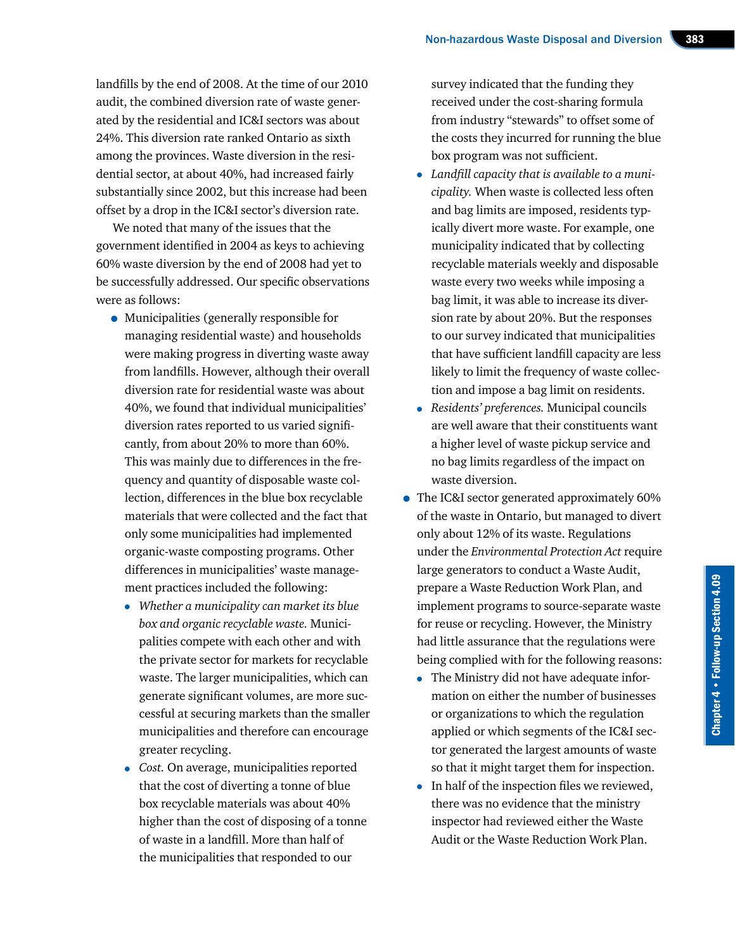landfills by the end of 2008. At the time of our 2010 audit, the combined diversion rate of waste generated by the residential and IC&I sectors was about 24%. This diversion rate ranked Ontario as sixth among the provinces. Waste diversion in the residential sector, at about 40%, had increased fairly substantially since 2002, but this increase had been offset by a drop in the IC&I sector's diversion rate.

We noted that many of the issues that the government identified in 2004 as keys to achieving 60% waste diversion by the end of 2008 had yet to be successfully addressed. Our specific observations were as follows:

- Municipalities (generally responsible for managing residential waste) and households were making progress in diverting waste away from landfills. However, although their overall diversion rate for residential waste was about 40%, we found that individual municipalities' diversion rates reported to us varied significantly, from about 20% to more than 60%. This was mainly due to differences in the frequency and quantity of disposable waste collection, differences in the blue box recyclable materials that were collected and the fact that only some municipalities had implemented organic-waste composting programs. Other differences in municipalities' waste management practices included the following:
	- *Whether a municipality can market its blue box and organic recyclable waste.* Municipalities compete with each other and with the private sector for markets for recyclable waste. The larger municipalities, which can generate significant volumes, are more successful at securing markets than the smaller municipalities and therefore can encourage greater recycling.
	- *Cost.* On average, municipalities reported that the cost of diverting a tonne of blue box recyclable materials was about 40% higher than the cost of disposing of a tonne of waste in a landfill. More than half of the municipalities that responded to our

survey indicated that the funding they received under the cost-sharing formula from industry "stewards" to offset some of the costs they incurred for running the blue box program was not sufficient.

- *Landfill capacity that is available to a municipality.* When waste is collected less often and bag limits are imposed, residents typically divert more waste. For example, one municipality indicated that by collecting recyclable materials weekly and disposable waste every two weeks while imposing a bag limit, it was able to increase its diversion rate by about 20%. But the responses to our survey indicated that municipalities that have sufficient landfill capacity are less likely to limit the frequency of waste collection and impose a bag limit on residents.
- *Residents' preferences.* Municipal councils are well aware that their constituents want a higher level of waste pickup service and no bag limits regardless of the impact on waste diversion.
- The IC&I sector generated approximately 60% of the waste in Ontario, but managed to divert only about 12% of its waste. Regulations under the *Environmental Protection Act* require large generators to conduct a Waste Audit, prepare a Waste Reduction Work Plan, and implement programs to source-separate waste for reuse or recycling. However, the Ministry had little assurance that the regulations were being complied with for the following reasons:
	- The Ministry did not have adequate information on either the number of businesses or organizations to which the regulation applied or which segments of the IC&I sector generated the largest amounts of waste so that it might target them for inspection.
	- In half of the inspection files we reviewed, there was no evidence that the ministry inspector had reviewed either the Waste Audit or the Waste Reduction Work Plan.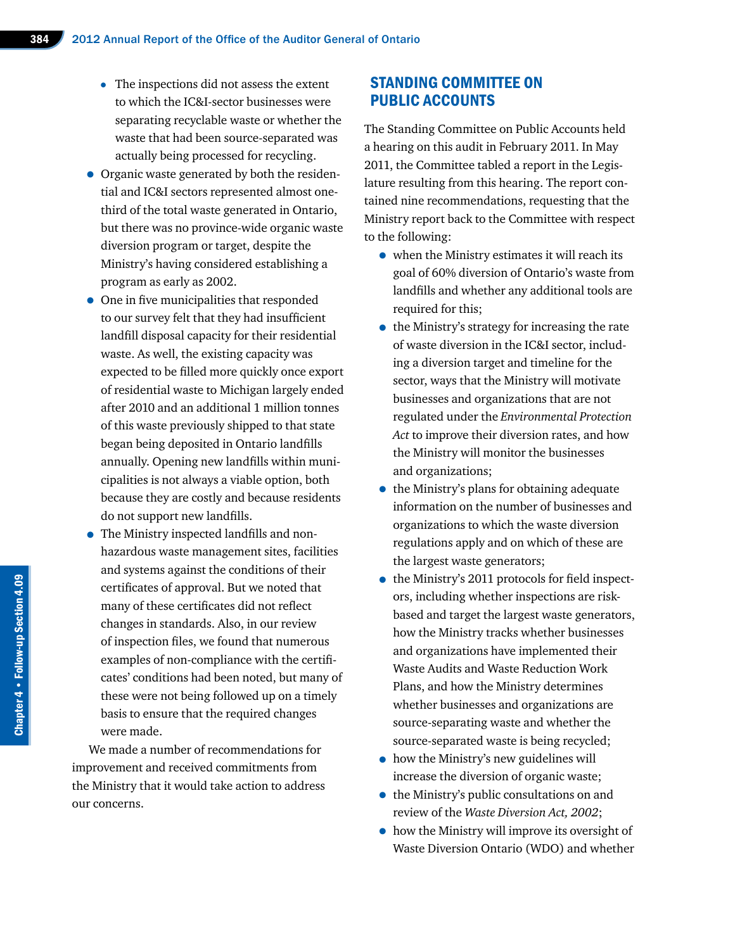- The inspections did not assess the extent to which the IC&I-sector businesses were separating recyclable waste or whether the waste that had been source-separated was actually being processed for recycling.
- Organic waste generated by both the residential and IC&I sectors represented almost onethird of the total waste generated in Ontario, but there was no province-wide organic waste diversion program or target, despite the Ministry's having considered establishing a program as early as 2002.
- One in five municipalities that responded to our survey felt that they had insufficient landfill disposal capacity for their residential waste. As well, the existing capacity was expected to be filled more quickly once export of residential waste to Michigan largely ended after 2010 and an additional 1 million tonnes of this waste previously shipped to that state began being deposited in Ontario landfills annually. Opening new landfills within municipalities is not always a viable option, both because they are costly and because residents do not support new landfills.
- The Ministry inspected landfills and nonhazardous waste management sites, facilities and systems against the conditions of their certificates of approval. But we noted that many of these certificates did not reflect changes in standards. Also, in our review of inspection files, we found that numerous examples of non-compliance with the certificates' conditions had been noted, but many of these were not being followed up on a timely basis to ensure that the required changes were made.

We made a number of recommendations for improvement and received commitments from the Ministry that it would take action to address our concerns.

#### STANDING COMMITTEE ON PUBLIC ACCOUNTS

The Standing Committee on Public Accounts held a hearing on this audit in February 2011. In May 2011, the Committee tabled a report in the Legislature resulting from this hearing. The report contained nine recommendations, requesting that the Ministry report back to the Committee with respect to the following:

- when the Ministry estimates it will reach its goal of 60% diversion of Ontario's waste from landfills and whether any additional tools are required for this;
- the Ministry's strategy for increasing the rate of waste diversion in the IC&I sector, including a diversion target and timeline for the sector, ways that the Ministry will motivate businesses and organizations that are not regulated under the *Environmental Protection Act* to improve their diversion rates, and how the Ministry will monitor the businesses and organizations;
- the Ministry's plans for obtaining adequate information on the number of businesses and organizations to which the waste diversion regulations apply and on which of these are the largest waste generators;
- the Ministry's 2011 protocols for field inspectors, including whether inspections are riskbased and target the largest waste generators, how the Ministry tracks whether businesses and organizations have implemented their Waste Audits and Waste Reduction Work Plans, and how the Ministry determines whether businesses and organizations are source-separating waste and whether the source-separated waste is being recycled;
- how the Ministry's new guidelines will increase the diversion of organic waste;
- the Ministry's public consultations on and review of the *Waste Diversion Act, 2002*;
- how the Ministry will improve its oversight of Waste Diversion Ontario (WDO) and whether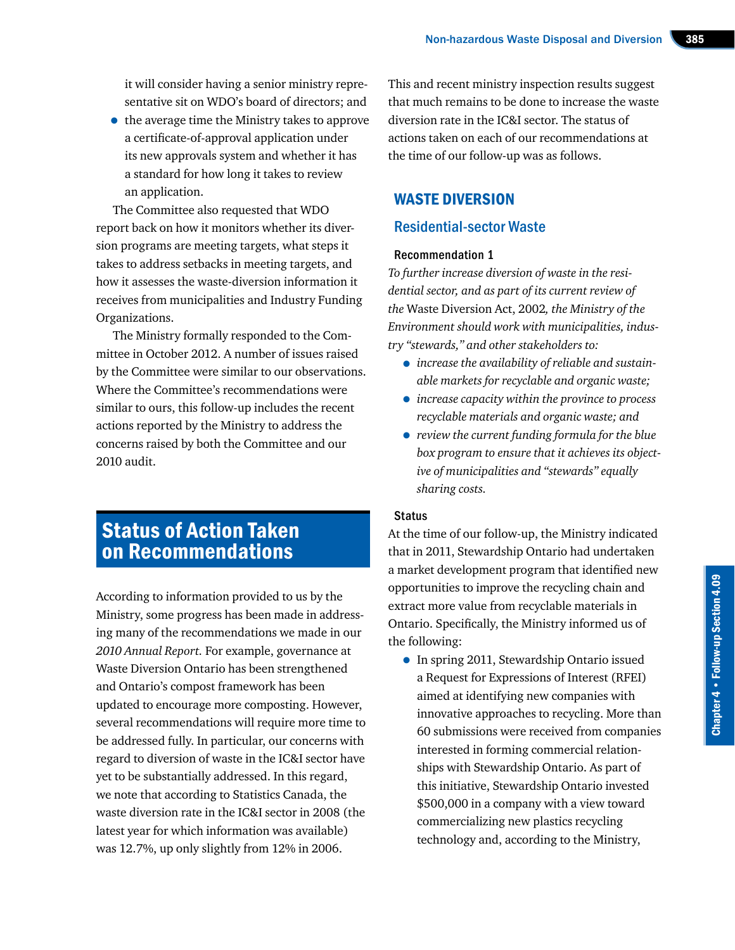it will consider having a senior ministry representative sit on WDO's board of directors; and

• the average time the Ministry takes to approve a certificate-of-approval application under its new approvals system and whether it has a standard for how long it takes to review an application.

The Committee also requested that WDO report back on how it monitors whether its diversion programs are meeting targets, what steps it takes to address setbacks in meeting targets, and how it assesses the waste-diversion information it receives from municipalities and Industry Funding Organizations.

The Ministry formally responded to the Committee in October 2012. A number of issues raised by the Committee were similar to our observations. Where the Committee's recommendations were similar to ours, this follow-up includes the recent actions reported by the Ministry to address the concerns raised by both the Committee and our 2010 audit.

### Status of Action Taken on Recommendations

According to information provided to us by the Ministry, some progress has been made in addressing many of the recommendations we made in our *2010 Annual Report.* For example, governance at Waste Diversion Ontario has been strengthened and Ontario's compost framework has been updated to encourage more composting. However, several recommendations will require more time to be addressed fully. In particular, our concerns with regard to diversion of waste in the IC&I sector have yet to be substantially addressed. In this regard, we note that according to Statistics Canada, the waste diversion rate in the IC&I sector in 2008 (the latest year for which information was available) was 12.7%, up only slightly from 12% in 2006.

This and recent ministry inspection results suggest that much remains to be done to increase the waste diversion rate in the IC&I sector. The status of actions taken on each of our recommendations at the time of our follow-up was as follows.

#### WASTE DIVERSION

#### Residential-sector Waste

#### Recommendation 1

*To further increase diversion of waste in the residential sector, and as part of its current review of the* Waste Diversion Act, 2002*, the Ministry of the Environment should work with municipalities, industry "stewards," and other stakeholders to:*

- *increase the availability of reliable and sustainable markets for recyclable and organic waste;*
- *increase capacity within the province to process recyclable materials and organic waste; and*
- *review the current funding formula for the blue box program to ensure that it achieves its objective of municipalities and "stewards" equally sharing costs.*

#### **Status**

At the time of our follow-up, the Ministry indicated that in 2011, Stewardship Ontario had undertaken a market development program that identified new opportunities to improve the recycling chain and extract more value from recyclable materials in Ontario. Specifically, the Ministry informed us of the following:

• In spring 2011, Stewardship Ontario issued a Request for Expressions of Interest (RFEI) aimed at identifying new companies with innovative approaches to recycling. More than 60 submissions were received from companies interested in forming commercial relationships with Stewardship Ontario. As part of this initiative, Stewardship Ontario invested \$500,000 in a company with a view toward commercializing new plastics recycling technology and, according to the Ministry,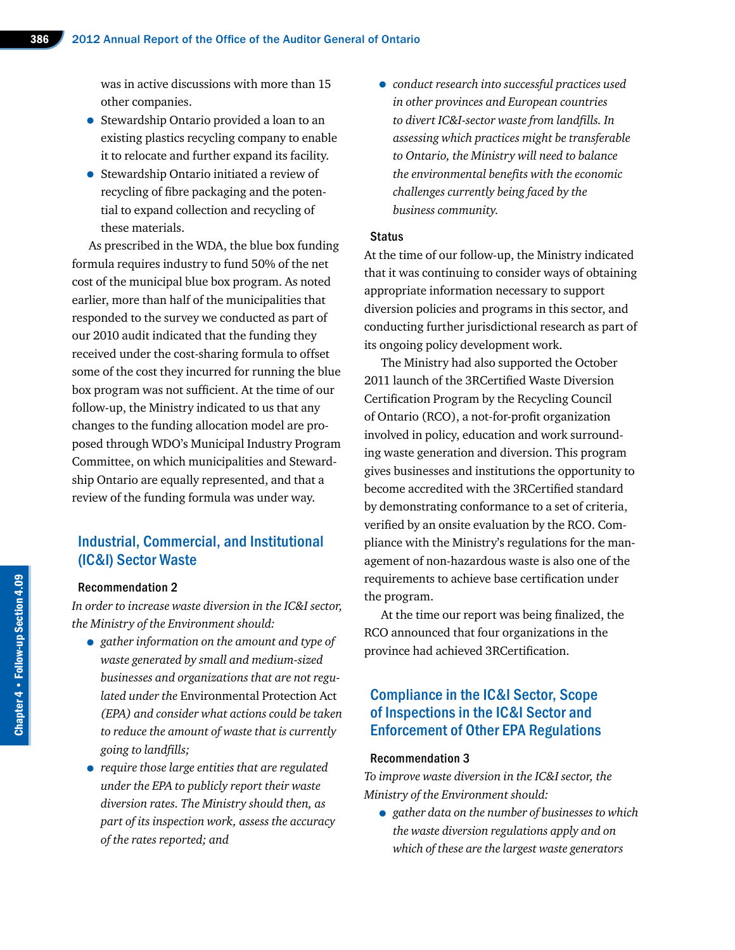was in active discussions with more than 15 other companies.

- Stewardship Ontario provided a loan to an existing plastics recycling company to enable it to relocate and further expand its facility.
- Stewardship Ontario initiated a review of recycling of fibre packaging and the potential to expand collection and recycling of these materials.

As prescribed in the WDA, the blue box funding formula requires industry to fund 50% of the net cost of the municipal blue box program. As noted earlier, more than half of the municipalities that responded to the survey we conducted as part of our 2010 audit indicated that the funding they received under the cost-sharing formula to offset some of the cost they incurred for running the blue box program was not sufficient. At the time of our follow-up, the Ministry indicated to us that any changes to the funding allocation model are proposed through WDO's Municipal Industry Program Committee, on which municipalities and Stewardship Ontario are equally represented, and that a review of the funding formula was under way.

#### Industrial, Commercial, and Institutional (IC&I) Sector Waste

#### Recommendation 2

*In order to increase waste diversion in the IC&I sector, the Ministry of the Environment should:*

- *gather information on the amount and type of waste generated by small and medium-sized businesses and organizations that are not regulated under the* Environmental Protection Act *(EPA) and consider what actions could be taken to reduce the amount of waste that is currently going to landfills;*
- *require those large entities that are regulated under the EPA to publicly report their waste diversion rates. The Ministry should then, as part of its inspection work, assess the accuracy of the rates reported; and*

• *conduct research into successful practices used in other provinces and European countries to divert IC&I-sector waste from landfills. In assessing which practices might be transferable to Ontario, the Ministry will need to balance the environmental benefits with the economic challenges currently being faced by the business community.*

#### **Status**

At the time of our follow-up, the Ministry indicated that it was continuing to consider ways of obtaining appropriate information necessary to support diversion policies and programs in this sector, and conducting further jurisdictional research as part of its ongoing policy development work.

The Ministry had also supported the October 2011 launch of the 3RCertified Waste Diversion Certification Program by the Recycling Council of Ontario (RCO), a not-for-profit organization involved in policy, education and work surrounding waste generation and diversion. This program gives businesses and institutions the opportunity to become accredited with the 3RCertified standard by demonstrating conformance to a set of criteria, verified by an onsite evaluation by the RCO. Compliance with the Ministry's regulations for the management of non-hazardous waste is also one of the requirements to achieve base certification under the program.

At the time our report was being finalized, the RCO announced that four organizations in the province had achieved 3RCertification.

#### Compliance in the IC&I Sector, Scope of Inspections in the IC&I Sector and Enforcement of Other EPA Regulations

#### Recommendation 3

*To improve waste diversion in the IC&I sector, the Ministry of the Environment should:*

• *gather data on the number of businesses to which the waste diversion regulations apply and on which of these are the largest waste generators*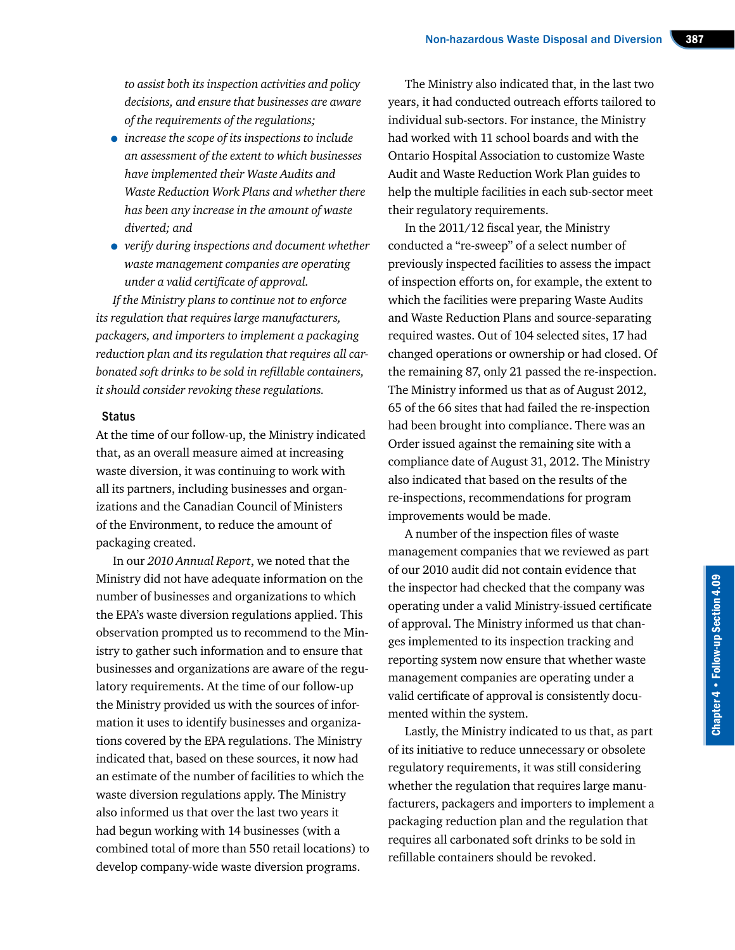*to assist both its inspection activities and policy decisions, and ensure that businesses are aware of the requirements of the regulations;*

- *increase the scope of its inspections to include an assessment of the extent to which businesses have implemented their Waste Audits and Waste Reduction Work Plans and whether there has been any increase in the amount of waste diverted; and*
- *verify during inspections and document whether waste management companies are operating under a valid certificate of approval.*

*If the Ministry plans to continue not to enforce its regulation that requires large manufacturers, packagers, and importers to implement a packaging reduction plan and its regulation that requires all carbonated soft drinks to be sold in refillable containers, it should consider revoking these regulations.*

#### **Status**

At the time of our follow-up, the Ministry indicated that, as an overall measure aimed at increasing waste diversion, it was continuing to work with all its partners, including businesses and organizations and the Canadian Council of Ministers of the Environment, to reduce the amount of packaging created.

In our *2010 Annual Report*, we noted that the Ministry did not have adequate information on the number of businesses and organizations to which the EPA's waste diversion regulations applied. This observation prompted us to recommend to the Ministry to gather such information and to ensure that businesses and organizations are aware of the regulatory requirements. At the time of our follow-up the Ministry provided us with the sources of information it uses to identify businesses and organizations covered by the EPA regulations. The Ministry indicated that, based on these sources, it now had an estimate of the number of facilities to which the waste diversion regulations apply. The Ministry also informed us that over the last two years it had begun working with 14 businesses (with a combined total of more than 550 retail locations) to develop company-wide waste diversion programs.

The Ministry also indicated that, in the last two years, it had conducted outreach efforts tailored to individual sub-sectors. For instance, the Ministry had worked with 11 school boards and with the Ontario Hospital Association to customize Waste Audit and Waste Reduction Work Plan guides to help the multiple facilities in each sub-sector meet their regulatory requirements.

In the 2011/12 fiscal year, the Ministry conducted a "re-sweep" of a select number of previously inspected facilities to assess the impact of inspection efforts on, for example, the extent to which the facilities were preparing Waste Audits and Waste Reduction Plans and source-separating required wastes. Out of 104 selected sites, 17 had changed operations or ownership or had closed. Of the remaining 87, only 21 passed the re-inspection. The Ministry informed us that as of August 2012, 65 of the 66 sites that had failed the re-inspection had been brought into compliance. There was an Order issued against the remaining site with a compliance date of August 31, 2012. The Ministry also indicated that based on the results of the re-inspections, recommendations for program improvements would be made.

A number of the inspection files of waste management companies that we reviewed as part of our 2010 audit did not contain evidence that the inspector had checked that the company was operating under a valid Ministry-issued certificate of approval. The Ministry informed us that changes implemented to its inspection tracking and reporting system now ensure that whether waste management companies are operating under a valid certificate of approval is consistently documented within the system.

Lastly, the Ministry indicated to us that, as part of its initiative to reduce unnecessary or obsolete regulatory requirements, it was still considering whether the regulation that requires large manufacturers, packagers and importers to implement a packaging reduction plan and the regulation that requires all carbonated soft drinks to be sold in refillable containers should be revoked.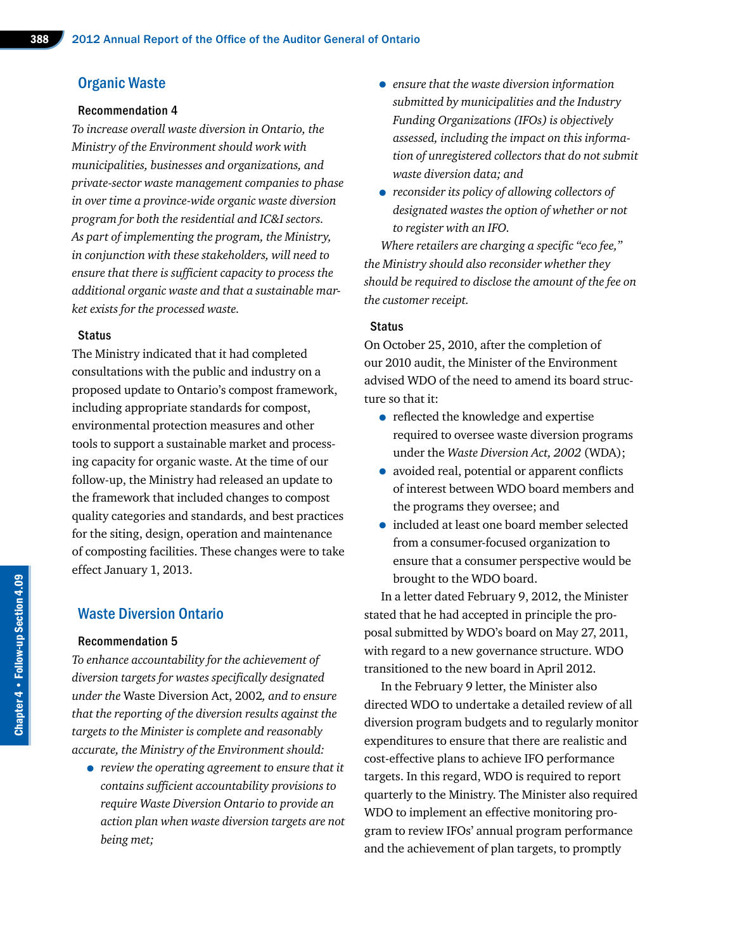#### Organic Waste

#### Recommendation 4

*To increase overall waste diversion in Ontario, the Ministry of the Environment should work with municipalities, businesses and organizations, and private-sector waste management companies to phase in over time a province-wide organic waste diversion program for both the residential and IC&I sectors. As part of implementing the program, the Ministry, in conjunction with these stakeholders, will need to ensure that there is sufficient capacity to process the additional organic waste and that a sustainable market exists for the processed waste.*

#### **Status**

The Ministry indicated that it had completed consultations with the public and industry on a proposed update to Ontario's compost framework, including appropriate standards for compost, environmental protection measures and other tools to support a sustainable market and processing capacity for organic waste. At the time of our follow-up, the Ministry had released an update to the framework that included changes to compost quality categories and standards, and best practices for the siting, design, operation and maintenance of composting facilities. These changes were to take effect January 1, 2013.

#### Waste Diversion Ontario

#### Recommendation 5

*To enhance accountability for the achievement of diversion targets for wastes specifically designated under the* Waste Diversion Act, 2002*, and to ensure that the reporting of the diversion results against the targets to the Minister is complete and reasonably accurate, the Ministry of the Environment should:*

• *review the operating agreement to ensure that it contains sufficient accountability provisions to require Waste Diversion Ontario to provide an action plan when waste diversion targets are not being met;*

- *ensure that the waste diversion information submitted by municipalities and the Industry Funding Organizations (IFOs) is objectively assessed, including the impact on this information of unregistered collectors that do not submit waste diversion data; and*
- *reconsider its policy of allowing collectors of designated wastes the option of whether or not to register with an IFO.*

*Where retailers are charging a specific "eco fee," the Ministry should also reconsider whether they should be required to disclose the amount of the fee on the customer receipt.*

#### **Status**

On October 25, 2010, after the completion of our 2010 audit, the Minister of the Environment advised WDO of the need to amend its board structure so that it:

- reflected the knowledge and expertise required to oversee waste diversion programs under the *Waste Diversion Act, 2002* (WDA);
- avoided real, potential or apparent conflicts of interest between WDO board members and the programs they oversee; and
- included at least one board member selected from a consumer-focused organization to ensure that a consumer perspective would be brought to the WDO board.

In a letter dated February 9, 2012, the Minister stated that he had accepted in principle the proposal submitted by WDO's board on May 27, 2011, with regard to a new governance structure. WDO transitioned to the new board in April 2012.

In the February 9 letter, the Minister also directed WDO to undertake a detailed review of all diversion program budgets and to regularly monitor expenditures to ensure that there are realistic and cost-effective plans to achieve IFO performance targets. In this regard, WDO is required to report quarterly to the Ministry. The Minister also required WDO to implement an effective monitoring program to review IFOs' annual program performance and the achievement of plan targets, to promptly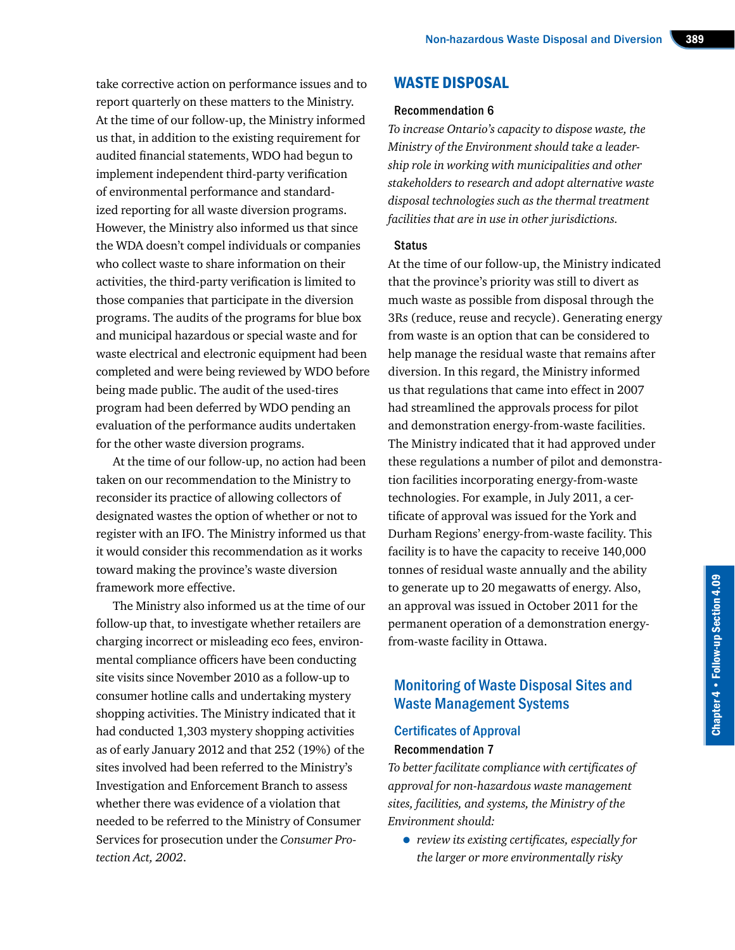take corrective action on performance issues and to report quarterly on these matters to the Ministry. At the time of our follow-up, the Ministry informed us that, in addition to the existing requirement for audited financial statements, WDO had begun to implement independent third-party verification of environmental performance and standardized reporting for all waste diversion programs. However, the Ministry also informed us that since the WDA doesn't compel individuals or companies who collect waste to share information on their activities, the third-party verification is limited to those companies that participate in the diversion programs. The audits of the programs for blue box and municipal hazardous or special waste and for waste electrical and electronic equipment had been completed and were being reviewed by WDO before being made public. The audit of the used-tires program had been deferred by WDO pending an evaluation of the performance audits undertaken for the other waste diversion programs.

At the time of our follow-up, no action had been taken on our recommendation to the Ministry to reconsider its practice of allowing collectors of designated wastes the option of whether or not to register with an IFO. The Ministry informed us that it would consider this recommendation as it works toward making the province's waste diversion framework more effective.

The Ministry also informed us at the time of our follow-up that, to investigate whether retailers are charging incorrect or misleading eco fees, environmental compliance officers have been conducting site visits since November 2010 as a follow-up to consumer hotline calls and undertaking mystery shopping activities. The Ministry indicated that it had conducted 1,303 mystery shopping activities as of early January 2012 and that 252 (19%) of the sites involved had been referred to the Ministry's Investigation and Enforcement Branch to assess whether there was evidence of a violation that needed to be referred to the Ministry of Consumer Services for prosecution under the *Consumer Protection Act, 2002*.

#### WASTE DISPOSAL

#### Recommendation 6

*To increase Ontario's capacity to dispose waste, the Ministry of the Environment should take a leadership role in working with municipalities and other stakeholders to research and adopt alternative waste disposal technologies such as the thermal treatment facilities that are in use in other jurisdictions.*

#### **Status**

At the time of our follow-up, the Ministry indicated that the province's priority was still to divert as much waste as possible from disposal through the 3Rs (reduce, reuse and recycle). Generating energy from waste is an option that can be considered to help manage the residual waste that remains after diversion. In this regard, the Ministry informed us that regulations that came into effect in 2007 had streamlined the approvals process for pilot and demonstration energy-from-waste facilities. The Ministry indicated that it had approved under these regulations a number of pilot and demonstration facilities incorporating energy-from-waste technologies. For example, in July 2011, a certificate of approval was issued for the York and Durham Regions' energy-from-waste facility. This facility is to have the capacity to receive 140,000 tonnes of residual waste annually and the ability to generate up to 20 megawatts of energy. Also, an approval was issued in October 2011 for the permanent operation of a demonstration energyfrom-waste facility in Ottawa.

#### Monitoring of Waste Disposal Sites and Waste Management Systems

#### Certificates of Approval Recommendation 7

*To better facilitate compliance with certificates of approval for non-hazardous waste management sites, facilities, and systems, the Ministry of the Environment should:*

• *review its existing certificates, especially for the larger or more environmentally risky*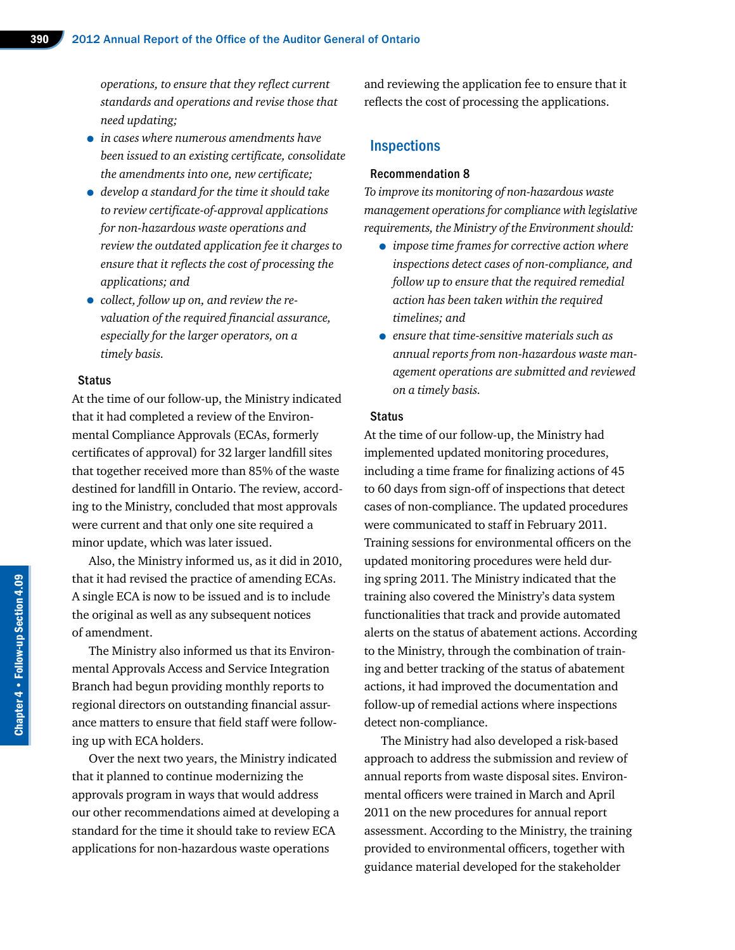*operations, to ensure that they reflect current standards and operations and revise those that need updating;*

- *in cases where numerous amendments have been issued to an existing certificate, consolidate the amendments into one, new certificate;*
- *develop a standard for the time it should take to review certificate-of-approval applications for non-hazardous waste operations and review the outdated application fee it charges to ensure that it reflects the cost of processing the applications; and*
- *collect, follow up on, and review the revaluation of the required financial assurance, especially for the larger operators, on a timely basis.*

#### **Status**

At the time of our follow-up, the Ministry indicated that it had completed a review of the Environmental Compliance Approvals (ECAs, formerly certificates of approval) for 32 larger landfill sites that together received more than 85% of the waste destined for landfill in Ontario. The review, according to the Ministry, concluded that most approvals were current and that only one site required a minor update, which was later issued.

Also, the Ministry informed us, as it did in 2010, that it had revised the practice of amending ECAs. A single ECA is now to be issued and is to include the original as well as any subsequent notices of amendment.

The Ministry also informed us that its Environmental Approvals Access and Service Integration Branch had begun providing monthly reports to regional directors on outstanding financial assurance matters to ensure that field staff were following up with ECA holders.

Over the next two years, the Ministry indicated that it planned to continue modernizing the approvals program in ways that would address our other recommendations aimed at developing a standard for the time it should take to review ECA applications for non-hazardous waste operations

and reviewing the application fee to ensure that it reflects the cost of processing the applications.

#### **Inspections**

#### Recommendation 8

*To improve its monitoring of non-hazardous waste management operations for compliance with legislative requirements, the Ministry of the Environment should:*

- *impose time frames for corrective action where inspections detect cases of non-compliance, and follow up to ensure that the required remedial action has been taken within the required timelines; and*
- *ensure that time-sensitive materials such as annual reports from non-hazardous waste management operations are submitted and reviewed on a timely basis.*

#### **Status**

At the time of our follow-up, the Ministry had implemented updated monitoring procedures, including a time frame for finalizing actions of 45 to 60 days from sign-off of inspections that detect cases of non-compliance. The updated procedures were communicated to staff in February 2011. Training sessions for environmental officers on the updated monitoring procedures were held during spring 2011. The Ministry indicated that the training also covered the Ministry's data system functionalities that track and provide automated alerts on the status of abatement actions. According to the Ministry, through the combination of training and better tracking of the status of abatement actions, it had improved the documentation and follow-up of remedial actions where inspections detect non-compliance.

The Ministry had also developed a risk-based approach to address the submission and review of annual reports from waste disposal sites. Environmental officers were trained in March and April 2011 on the new procedures for annual report assessment. According to the Ministry, the training provided to environmental officers, together with guidance material developed for the stakeholder